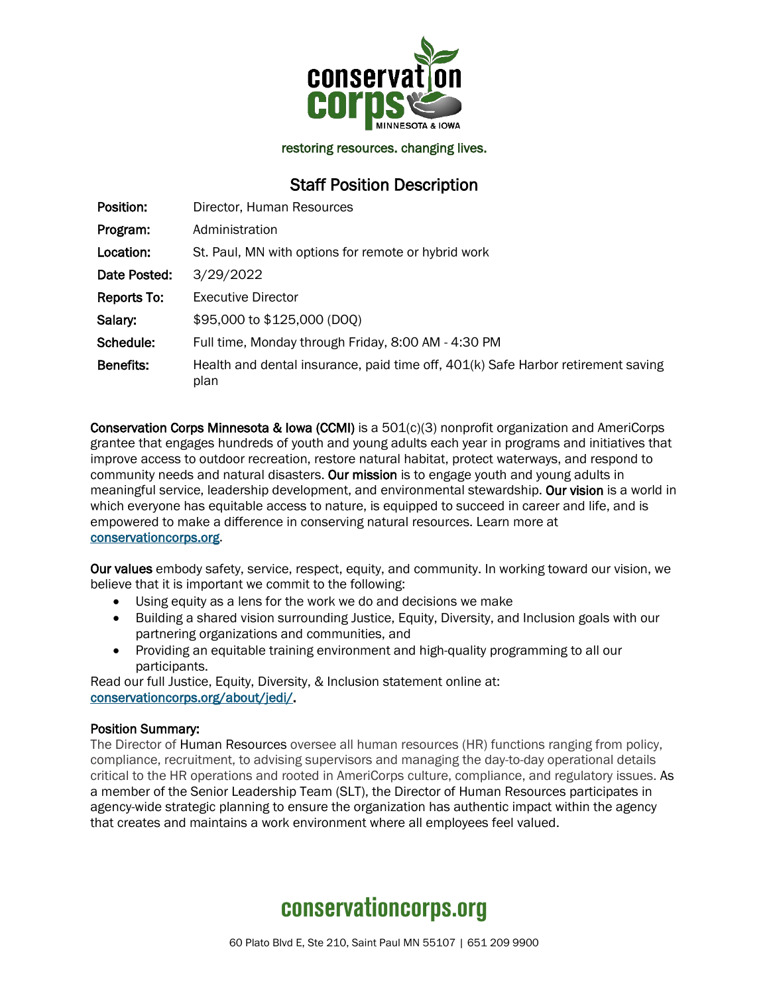

# restoring resources. changing lives.

# Staff Position Description

| Position:        | Director, Human Resources                                                                |
|------------------|------------------------------------------------------------------------------------------|
| Program:         | Administration                                                                           |
| Location:        | St. Paul, MN with options for remote or hybrid work                                      |
| Date Posted:     | 3/29/2022                                                                                |
| Reports To:      | <b>Executive Director</b>                                                                |
| Salary:          | \$95,000 to \$125,000 (DOQ)                                                              |
| Schedule:        | Full time, Monday through Friday, 8:00 AM - 4:30 PM                                      |
| <b>Benefits:</b> | Health and dental insurance, paid time off, 401(k) Safe Harbor retirement saving<br>plan |

Conservation Corps Minnesota & Iowa (CCMI) is a 501(c)(3) nonprofit organization and AmeriCorps grantee that engages hundreds of youth and young adults each year in programs and initiatives that improve access to outdoor recreation, restore natural habitat, protect waterways, and respond to community needs and natural disasters. Our mission is to engage youth and young adults in meaningful service, leadership development, and environmental stewardship. Our vision is a world in which everyone has equitable access to nature, is equipped to succeed in career and life, and is empowered to make a difference in conserving natural resources. Learn more at [conservationcorps.org.](mailto:https://conservationcorps.org/)

Our values embody safety, service, respect, equity, and community. In working toward our vision, we believe that it is important we commit to the following:

- Using equity as a lens for the work we do and decisions we make
- Building a shared vision surrounding Justice, Equity, Diversity, and Inclusion goals with our partnering organizations and communities, and
- Providing an equitable training environment and high-quality programming to all our participants.

Read our full Justice, Equity, Diversity, & Inclusion statement online at: [conservationcorps.org/about/jedi/.](https://conservationcorps.org/about/jedi/)

#### Position Summary:

The Director of Human Resources oversee all human resources (HR) functions ranging from policy, compliance, recruitment, to advising supervisors and managing the day-to-day operational details critical to the HR operations and rooted in AmeriCorps culture, compliance, and regulatory issues. As a member of the Senior Leadership Team (SLT), the Director of Human Resources participates in agency-wide strategic planning to ensure the organization has authentic impact within the agency that creates and maintains a work environment where all employees feel valued.

# **conservationcorps.org**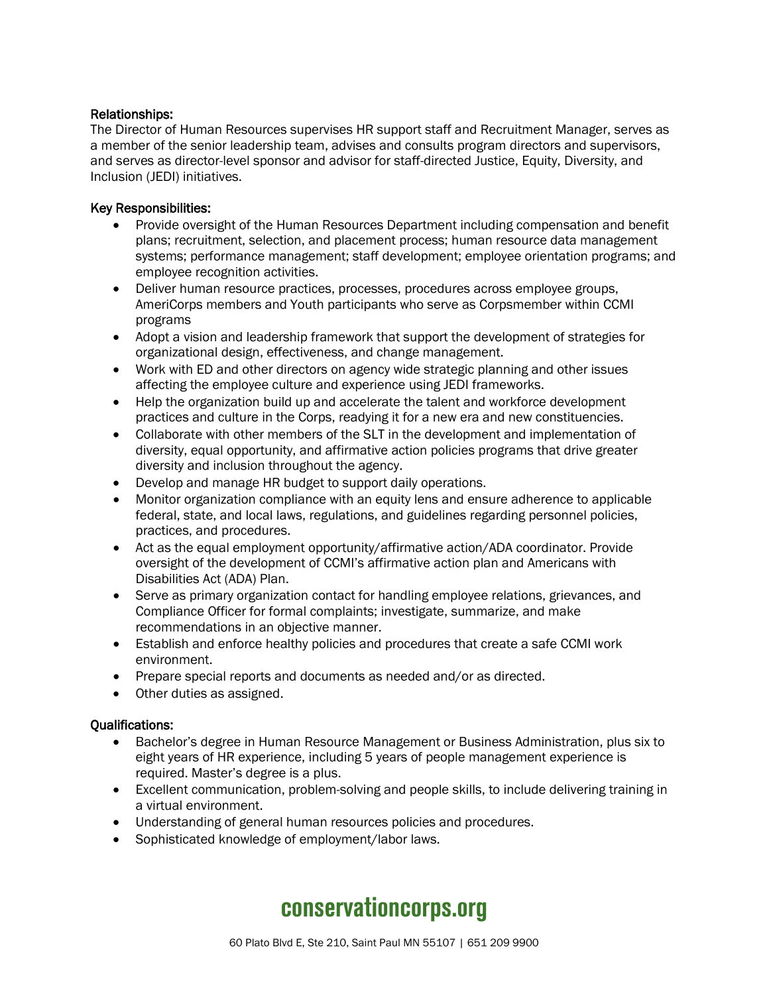## Relationships:

The Director of Human Resources supervises HR support staff and Recruitment Manager, serves as a member of the senior leadership team, advises and consults program directors and supervisors, and serves as director-level sponsor and advisor for staff-directed Justice, Equity, Diversity, and Inclusion (JEDI) initiatives.

## Key Responsibilities:

- Provide oversight of the Human Resources Department including compensation and benefit plans; recruitment, selection, and placement process; human resource data management systems; performance management; staff development; employee orientation programs; and employee recognition activities.
- Deliver human resource practices, processes, procedures across employee groups, AmeriCorps members and Youth participants who serve as Corpsmember within CCMI programs
- Adopt a vision and leadership framework that support the development of strategies for organizational design, effectiveness, and change management.
- Work with ED and other directors on agency wide strategic planning and other issues affecting the employee culture and experience using JEDI frameworks.
- Help the organization build up and accelerate the talent and workforce development practices and culture in the Corps, readying it for a new era and new constituencies.
- Collaborate with other members of the SLT in the development and implementation of diversity, equal opportunity, and affirmative action policies programs that drive greater diversity and inclusion throughout the agency.
- Develop and manage HR budget to support daily operations.
- Monitor organization compliance with an equity lens and ensure adherence to applicable federal, state, and local laws, regulations, and guidelines regarding personnel policies, practices, and procedures.
- Act as the equal employment opportunity/affirmative action/ADA coordinator. Provide oversight of the development of CCMI's affirmative action plan and Americans with Disabilities Act (ADA) Plan.
- Serve as primary organization contact for handling employee relations, grievances, and Compliance Officer for formal complaints; investigate, summarize, and make recommendations in an objective manner.
- Establish and enforce healthy policies and procedures that create a safe CCMI work environment.
- Prepare special reports and documents as needed and/or as directed.
- Other duties as assigned.

#### Qualifications:

- Bachelor's degree in Human Resource Management or Business Administration, plus six to eight years of HR experience, including 5 years of people management experience is required. Master's degree is a plus.
- Excellent communication, problem-solving and people skills, to include delivering training in a virtual environment.
- Understanding of general human resources policies and procedures.
- Sophisticated knowledge of employment/labor laws.

# **conservationcorps.org**